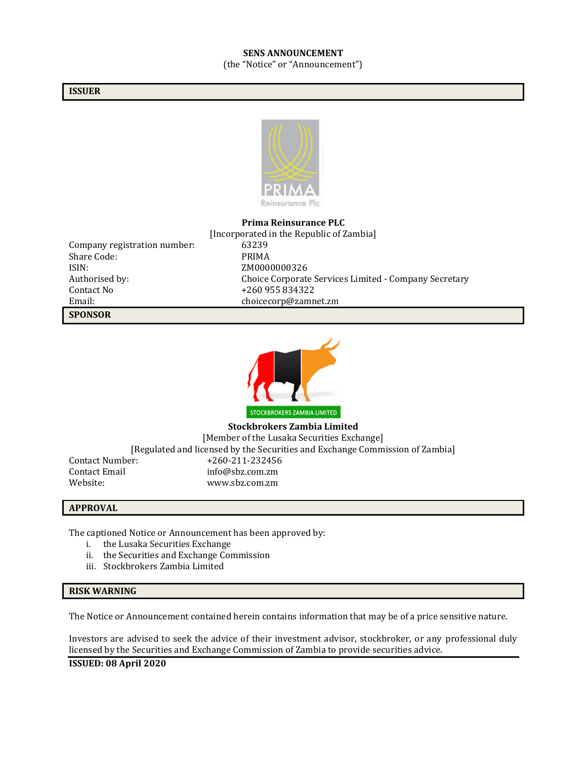#### **SENS ANNOUNCEMENT** (the "Notice" or "Announcement")

#### **ISSUER**



#### **Prima Reinsurance PLC**

| <b>SPONSOR</b>               |  |
|------------------------------|--|
| Email:                       |  |
| Contact No.                  |  |
| Authorised by:               |  |
| ISIN:                        |  |
| Share Code:                  |  |
| Company registration number: |  |
|                              |  |

[Incorporated in the Republic of Zambia] 63239 PRIMA ZM0000000326 Choice Corporate Services Limited - Company Secretary +260 955 834322 choicecorp@zamnet.zm



**Stockbrokers Zambia Limited** [Member of the Lusaka Securities Exchange] [Regulated and licensed by the Securities and Exchange Commission of Zambia] Contact Number: +260-211-232456 Contact Email info@sbz.com.zm Website: www.sbz.com.zm

#### **APPROVAL**

The captioned Notice or Announcement has been approved by:

- i. the Lusaka Securities Exchange
- ii. the Securities and Exchange Commission
- iii. Stockbrokers Zambia Limited

#### **RISK WARNING**

The Notice or Announcement contained herein contains information that may be of a price sensitive nature.

Investors are advised to seek the advice of their investment advisor, stockbroker, or any professional duly licensed by the Securities and Exchange Commission of Zambia to provide securities advice.

**ISSUED: 08 April 2020**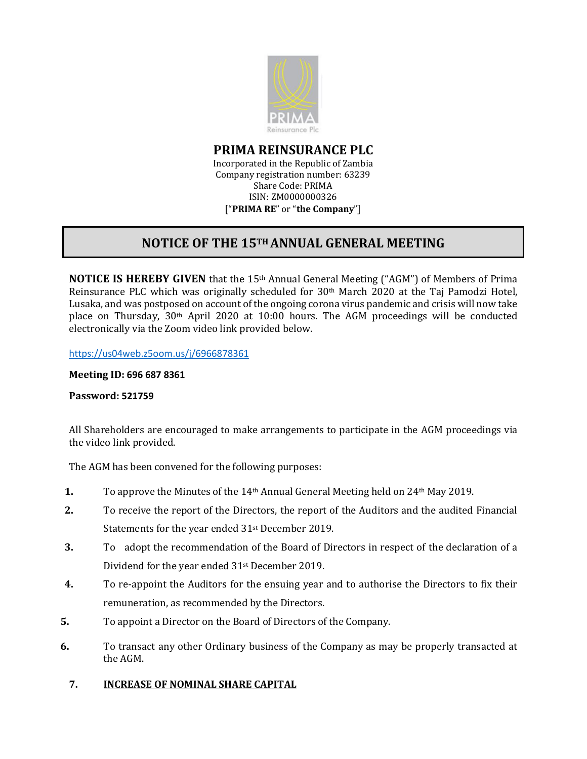

**PRIMA REINSURANCE PLC**

Incorporated in the Republic of Zambia Company registration number: 63239 Share Code: PRIMA ISIN: ZM0000000326 ["**PRIMA RE**" or "**the Company**"]

# **NOTICE OF THE 15TH ANNUAL GENERAL MEETING**

**NOTICE IS HEREBY GIVEN** that the 15<sup>th</sup> Annual General Meeting ("AGM") of Members of Prima Reinsurance PLC which was originally scheduled for 30th March 2020 at the Taj Pamodzi Hotel, Lusaka, and was postposed on account of the ongoing corona virus pandemic and crisis will now take place on Thursday, 30th April 2020 at 10:00 hours. The AGM proceedings will be conducted electronically via the Zoom video link provided below.

<https://us04web.z5oom.us/j/6966878361>

### **Meeting ID: 696 687 8361**

## **Password: 521759**

All Shareholders are encouraged to make arrangements to participate in the AGM proceedings via the video link provided.

The AGM has been convened for the following purposes:

- **1.** To approve the Minutes of the 14th Annual General Meeting held on 24th May 2019.
- **2.** To receive the report of the Directors, the report of the Auditors and the audited Financial Statements for the year ended 31<sup>st</sup> December 2019.
- **3.** To adopt the recommendation of the Board of Directors in respect of the declaration of a Dividend for the year ended 31st December 2019.
- **4.** To re-appoint the Auditors for the ensuing year and to authorise the Directors to fix their remuneration, as recommended by the Directors.
- **5.** To appoint a Director on the Board of Directors of the Company.
- **6.** To transact any other Ordinary business of the Company as may be properly transacted at the AGM.

## **7. INCREASE OF NOMINAL SHARE CAPITAL**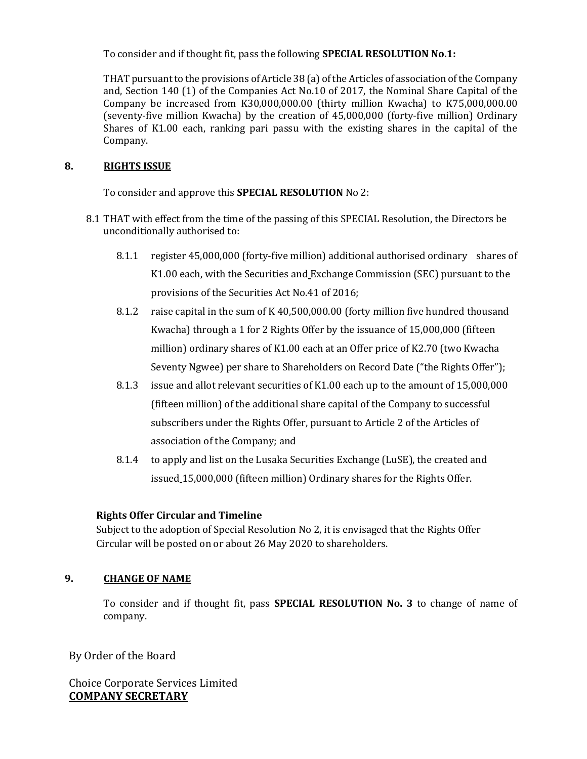To consider and if thought fit, pass the following **SPECIAL RESOLUTION No.1:**

THAT pursuant to the provisions of Article 38 (a) of the Articles of association of the Company and, Section 140 (1) of the Companies Act No.10 of 2017, the Nominal Share Capital of the Company be increased from K30,000,000.00 (thirty million Kwacha) to K75,000,000.00 (seventy-five million Kwacha) by the creation of 45,000,000 (forty-five million) Ordinary Shares of K1.00 each, ranking pari passu with the existing shares in the capital of the Company.

## **8. RIGHTS ISSUE**

To consider and approve this **SPECIAL RESOLUTION** No 2:

- 8.1 THAT with effect from the time of the passing of this SPECIAL Resolution, the Directors be unconditionally authorised to:
	- 8.1.1 register 45,000,000 (forty-five million) additional authorised ordinary shares of K1.00 each, with the Securities and Exchange Commission (SEC) pursuant to the provisions of the Securities Act No.41 of 2016;
	- 8.1.2 raise capital in the sum of K 40,500,000.00 (forty million five hundred thousand Kwacha) through a 1 for 2 Rights Offer by the issuance of 15,000,000 (fifteen million) ordinary shares of K1.00 each at an Offer price of K2.70 (two Kwacha Seventy Ngwee) per share to Shareholders on Record Date ("the Rights Offer");
	- 8.1.3 issue and allot relevant securities of K1.00 each up to the amount of 15,000,000 (fifteen million) of the additional share capital of the Company to successful subscribers under the Rights Offer, pursuant to Article 2 of the Articles of association of the Company; and
	- 8.1.4 to apply and list on the Lusaka Securities Exchange (LuSE), the created and issued 15,000,000 (fifteen million) Ordinary shares for the Rights Offer.

# **Rights Offer Circular and Timeline**

Subject to the adoption of Special Resolution No 2, it is envisaged that the Rights Offer Circular will be posted on or about 26 May 2020 to shareholders.

# **9. CHANGE OF NAME**

To consider and if thought fit, pass **SPECIAL RESOLUTION No. 3** to change of name of company.

By Order of the Board

Choice Corporate Services Limited **COMPANY SECRETARY**